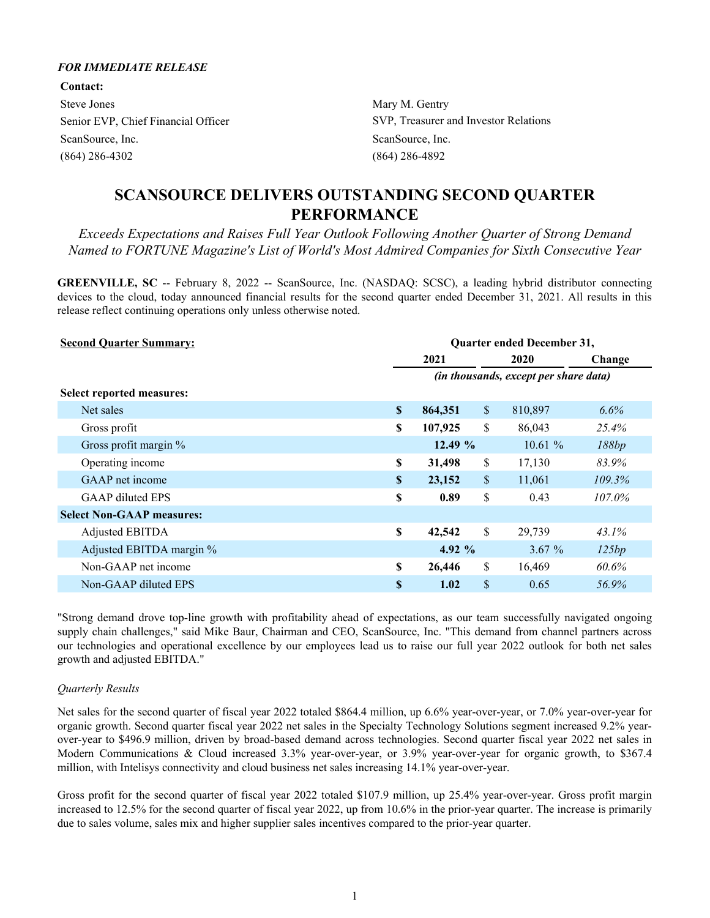### *FOR IMMEDIATE RELEASE*

**Contact:** Steve Jones Mary M. Gentry ScanSource, Inc. ScanSource, Inc. ScanSource, Inc. (864) 286-4302 (864) 286-4892

Senior EVP, Chief Financial Officer SVP, Treasurer and Investor Relations

# **SCANSOURCE DELIVERS OUTSTANDING SECOND QUARTER PERFORMANCE**

*Exceeds Expectations and Raises Full Year Outlook Following Another Quarter of Strong Demand Named to FORTUNE Magazine's List of World's Most Admired Companies for Sixth Consecutive Year*

**GREENVILLE, SC** -- February 8, 2022 -- ScanSource, Inc. (NASDAQ: SCSC), a leading hybrid distributor connecting devices to the cloud, today announced financial results for the second quarter ended December 31, 2021. All results in this release reflect continuing operations only unless otherwise noted.

| <b>Second Quarter Summary:</b>   | Quarter ended December 31, |                                       |              |          |         |  |  |  |
|----------------------------------|----------------------------|---------------------------------------|--------------|----------|---------|--|--|--|
|                                  |                            | 2021                                  |              | 2020     | Change  |  |  |  |
|                                  |                            | (in thousands, except per share data) |              |          |         |  |  |  |
| <b>Select reported measures:</b> |                            |                                       |              |          |         |  |  |  |
| Net sales                        | $\mathbf S$                | 864,351                               | $\mathbb{S}$ | 810,897  | $6.6\%$ |  |  |  |
| Gross profit                     | \$                         | 107,925                               | \$           | 86,043   | 25.4%   |  |  |  |
| Gross profit margin %            |                            | 12.49%                                |              | 10.61%   | 188bp   |  |  |  |
| Operating income                 | \$                         | 31,498                                | \$           | 17,130   | 83.9%   |  |  |  |
| GAAP net income                  | \$                         | 23,152                                | $\mathbb{S}$ | 11,061   | 109.3%  |  |  |  |
| <b>GAAP</b> diluted EPS          | \$                         | 0.89                                  | \$           | 0.43     | 107.0%  |  |  |  |
| <b>Select Non-GAAP measures:</b> |                            |                                       |              |          |         |  |  |  |
| Adjusted EBITDA                  | \$                         | 42,542                                | \$           | 29,739   | 43.1%   |  |  |  |
| Adjusted EBITDA margin %         |                            | 4.92 $\%$                             |              | $3.67\%$ | 125bp   |  |  |  |
| Non-GAAP net income              | \$                         | 26,446                                | \$           | 16,469   | 60.6%   |  |  |  |
| Non-GAAP diluted EPS             | \$                         | 1.02                                  | \$           | 0.65     | 56.9%   |  |  |  |

"Strong demand drove top-line growth with profitability ahead of expectations, as our team successfully navigated ongoing supply chain challenges," said Mike Baur, Chairman and CEO, ScanSource, Inc. "This demand from channel partners across our technologies and operational excellence by our employees lead us to raise our full year 2022 outlook for both net sales growth and adjusted EBITDA."

### *Quarterly Results*

Net sales for the second quarter of fiscal year 2022 totaled \$864.4 million, up 6.6% year-over-year, or 7.0% year-over-year for organic growth. Second quarter fiscal year 2022 net sales in the Specialty Technology Solutions segment increased 9.2% yearover-year to \$496.9 million, driven by broad-based demand across technologies. Second quarter fiscal year 2022 net sales in Modern Communications & Cloud increased 3.3% year-over-year, or 3.9% year-over-year for organic growth, to \$367.4 million, with Intelisys connectivity and cloud business net sales increasing 14.1% year-over-year.

Gross profit for the second quarter of fiscal year 2022 totaled \$107.9 million, up 25.4% year-over-year. Gross profit margin increased to 12.5% for the second quarter of fiscal year 2022, up from 10.6% in the prior-year quarter. The increase is primarily due to sales volume, sales mix and higher supplier sales incentives compared to the prior-year quarter.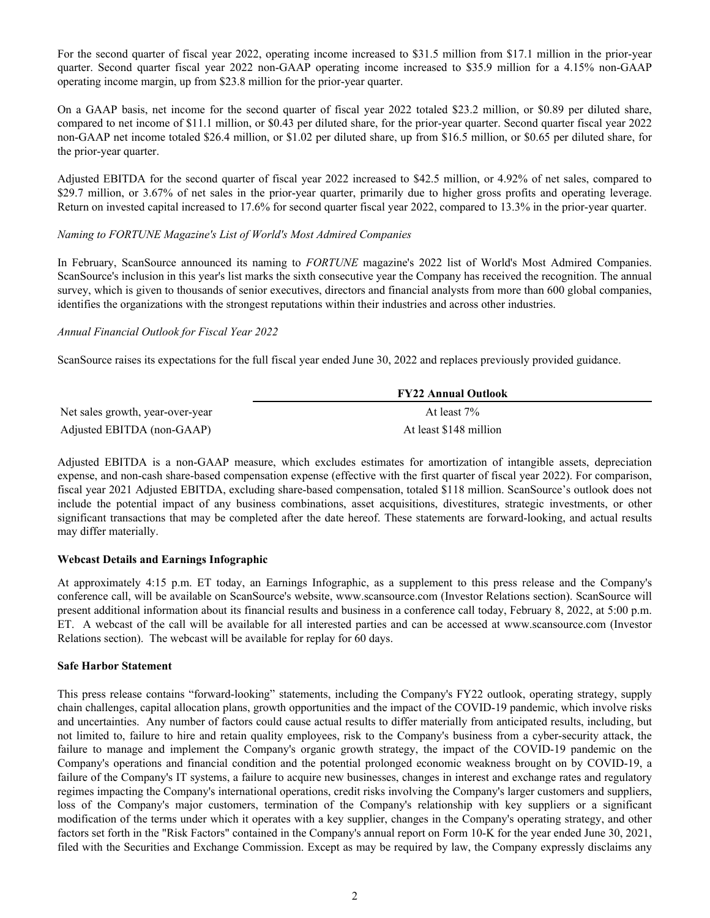For the second quarter of fiscal year 2022, operating income increased to \$31.5 million from \$17.1 million in the prior-year quarter. Second quarter fiscal year 2022 non-GAAP operating income increased to \$35.9 million for a 4.15% non-GAAP operating income margin, up from \$23.8 million for the prior-year quarter.

On a GAAP basis, net income for the second quarter of fiscal year 2022 totaled \$23.2 million, or \$0.89 per diluted share, compared to net income of \$11.1 million, or \$0.43 per diluted share, for the prior-year quarter. Second quarter fiscal year 2022 non-GAAP net income totaled \$26.4 million, or \$1.02 per diluted share, up from \$16.5 million, or \$0.65 per diluted share, for the prior-year quarter.

Adjusted EBITDA for the second quarter of fiscal year 2022 increased to \$42.5 million, or 4.92% of net sales, compared to \$29.7 million, or 3.67% of net sales in the prior-year quarter, primarily due to higher gross profits and operating leverage. Return on invested capital increased to 17.6% for second quarter fiscal year 2022, compared to 13.3% in the prior-year quarter.

#### *Naming to FORTUNE Magazine's List of World's Most Admired Companies*

In February, ScanSource announced its naming to *FORTUNE* magazine's 2022 list of World's Most Admired Companies. ScanSource's inclusion in this year's list marks the sixth consecutive year the Company has received the recognition. The annual survey, which is given to thousands of senior executives, directors and financial analysts from more than 600 global companies, identifies the organizations with the strongest reputations within their industries and across other industries.

### *Annual Financial Outlook for Fiscal Year 2022*

ScanSource raises its expectations for the full fiscal year ended June 30, 2022 and replaces previously provided guidance.

|                                  | <b>FY22 Annual Outlook</b> |
|----------------------------------|----------------------------|
| Net sales growth, year-over-year | At least 7\%               |
| Adjusted EBITDA (non-GAAP)       | At least \$148 million     |

Adjusted EBITDA is a non-GAAP measure, which excludes estimates for amortization of intangible assets, depreciation expense, and non-cash share-based compensation expense (effective with the first quarter of fiscal year 2022). For comparison, fiscal year 2021 Adjusted EBITDA, excluding share-based compensation, totaled \$118 million. ScanSource's outlook does not include the potential impact of any business combinations, asset acquisitions, divestitures, strategic investments, or other significant transactions that may be completed after the date hereof. These statements are forward-looking, and actual results may differ materially.

### **Webcast Details and Earnings Infographic**

At approximately 4:15 p.m. ET today, an Earnings Infographic, as a supplement to this press release and the Company's conference call, will be available on ScanSource's website, www.scansource.com (Investor Relations section). ScanSource will present additional information about its financial results and business in a conference call today, February 8, 2022, at 5:00 p.m. ET. A webcast of the call will be available for all interested parties and can be accessed at www.scansource.com (Investor Relations section). The webcast will be available for replay for 60 days.

#### **Safe Harbor Statement**

This press release contains "forward-looking" statements, including the Company's FY22 outlook, operating strategy, supply chain challenges, capital allocation plans, growth opportunities and the impact of the COVID-19 pandemic, which involve risks and uncertainties. Any number of factors could cause actual results to differ materially from anticipated results, including, but not limited to, failure to hire and retain quality employees, risk to the Company's business from a cyber-security attack, the failure to manage and implement the Company's organic growth strategy, the impact of the COVID-19 pandemic on the Company's operations and financial condition and the potential prolonged economic weakness brought on by COVID-19, a failure of the Company's IT systems, a failure to acquire new businesses, changes in interest and exchange rates and regulatory regimes impacting the Company's international operations, credit risks involving the Company's larger customers and suppliers, loss of the Company's major customers, termination of the Company's relationship with key suppliers or a significant modification of the terms under which it operates with a key supplier, changes in the Company's operating strategy, and other factors set forth in the "Risk Factors" contained in the Company's annual report on Form 10-K for the year ended June 30, 2021, filed with the Securities and Exchange Commission. Except as may be required by law, the Company expressly disclaims any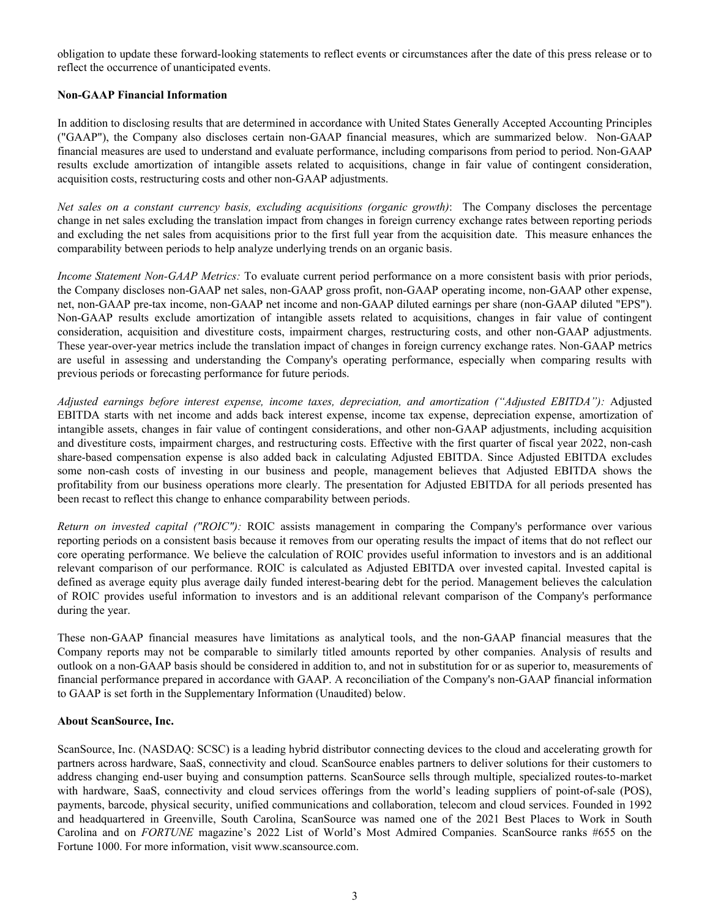obligation to update these forward-looking statements to reflect events or circumstances after the date of this press release or to reflect the occurrence of unanticipated events.

### **Non-GAAP Financial Information**

In addition to disclosing results that are determined in accordance with United States Generally Accepted Accounting Principles ("GAAP"), the Company also discloses certain non-GAAP financial measures, which are summarized below. Non-GAAP financial measures are used to understand and evaluate performance, including comparisons from period to period. Non-GAAP results exclude amortization of intangible assets related to acquisitions, change in fair value of contingent consideration, acquisition costs, restructuring costs and other non-GAAP adjustments.

*Net sales on a constant currency basis, excluding acquisitions (organic growth)*: The Company discloses the percentage change in net sales excluding the translation impact from changes in foreign currency exchange rates between reporting periods and excluding the net sales from acquisitions prior to the first full year from the acquisition date. This measure enhances the comparability between periods to help analyze underlying trends on an organic basis.

*Income Statement Non-GAAP Metrics:* To evaluate current period performance on a more consistent basis with prior periods, the Company discloses non-GAAP net sales, non-GAAP gross profit, non-GAAP operating income, non-GAAP other expense, net, non-GAAP pre-tax income, non-GAAP net income and non-GAAP diluted earnings per share (non-GAAP diluted "EPS"). Non-GAAP results exclude amortization of intangible assets related to acquisitions, changes in fair value of contingent consideration, acquisition and divestiture costs, impairment charges, restructuring costs, and other non-GAAP adjustments. These year-over-year metrics include the translation impact of changes in foreign currency exchange rates. Non-GAAP metrics are useful in assessing and understanding the Company's operating performance, especially when comparing results with previous periods or forecasting performance for future periods.

*Adjusted earnings before interest expense, income taxes, depreciation, and amortization ("Adjusted EBITDA"):* Adjusted EBITDA starts with net income and adds back interest expense, income tax expense, depreciation expense, amortization of intangible assets, changes in fair value of contingent considerations, and other non-GAAP adjustments, including acquisition and divestiture costs, impairment charges, and restructuring costs. Effective with the first quarter of fiscal year 2022, non-cash share-based compensation expense is also added back in calculating Adjusted EBITDA. Since Adjusted EBITDA excludes some non-cash costs of investing in our business and people, management believes that Adjusted EBITDA shows the profitability from our business operations more clearly. The presentation for Adjusted EBITDA for all periods presented has been recast to reflect this change to enhance comparability between periods.

*Return on invested capital ("ROIC"):* ROIC assists management in comparing the Company's performance over various reporting periods on a consistent basis because it removes from our operating results the impact of items that do not reflect our core operating performance. We believe the calculation of ROIC provides useful information to investors and is an additional relevant comparison of our performance. ROIC is calculated as Adjusted EBITDA over invested capital. Invested capital is defined as average equity plus average daily funded interest-bearing debt for the period. Management believes the calculation of ROIC provides useful information to investors and is an additional relevant comparison of the Company's performance during the year.

These non-GAAP financial measures have limitations as analytical tools, and the non-GAAP financial measures that the Company reports may not be comparable to similarly titled amounts reported by other companies. Analysis of results and outlook on a non-GAAP basis should be considered in addition to, and not in substitution for or as superior to, measurements of financial performance prepared in accordance with GAAP. A reconciliation of the Company's non-GAAP financial information to GAAP is set forth in the Supplementary Information (Unaudited) below.

### **About ScanSource, Inc.**

ScanSource, Inc. (NASDAQ: SCSC) is a leading hybrid distributor connecting devices to the cloud and accelerating growth for partners across hardware, SaaS, connectivity and cloud. ScanSource enables partners to deliver solutions for their customers to address changing end-user buying and consumption patterns. ScanSource sells through multiple, specialized routes-to-market with hardware, SaaS, connectivity and cloud services offerings from the world's leading suppliers of point-of-sale (POS), payments, barcode, physical security, unified communications and collaboration, telecom and cloud services. Founded in 1992 and headquartered in Greenville, South Carolina, ScanSource was named one of the 2021 Best Places to Work in South Carolina and on *FORTUNE* magazine's 2022 List of World's Most Admired Companies. ScanSource ranks #655 on the Fortune 1000. For more information, visit www.scansource.com.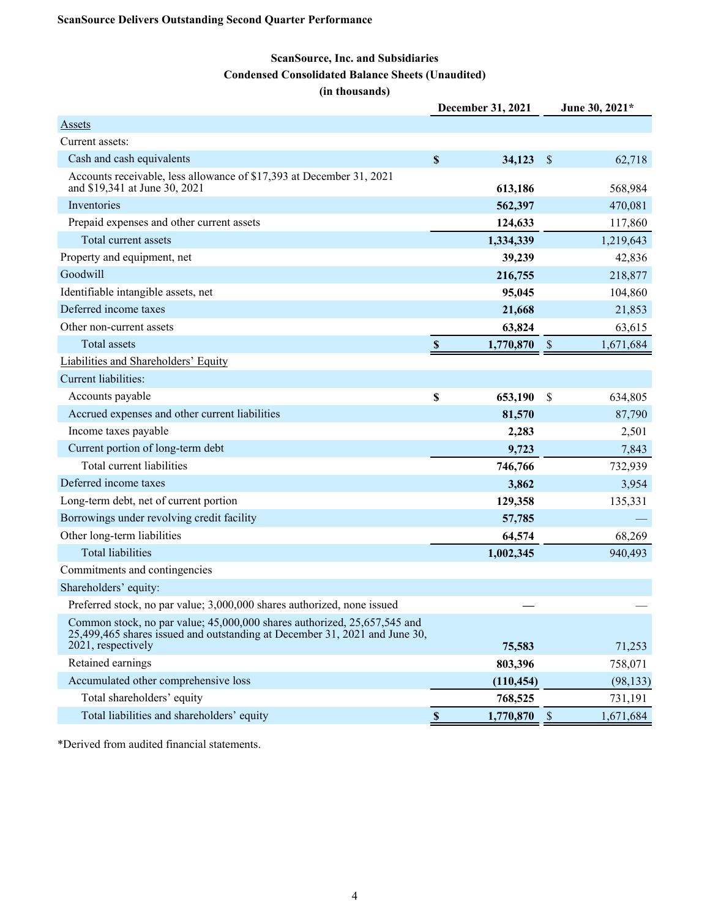# **ScanSource, Inc. and Subsidiaries Condensed Consolidated Balance Sheets (Unaudited)**

**(in thousands)**

|                                                                                                                                                                              |                           | December 31, 2021 |               | June 30, 2021* |
|------------------------------------------------------------------------------------------------------------------------------------------------------------------------------|---------------------------|-------------------|---------------|----------------|
| Assets                                                                                                                                                                       |                           |                   |               |                |
| Current assets:                                                                                                                                                              |                           |                   |               |                |
| Cash and cash equivalents                                                                                                                                                    | \$                        | 34,123            | $\mathcal{S}$ | 62,718         |
| Accounts receivable, less allowance of \$17,393 at December 31, 2021<br>and \$19,341 at June 30, 2021                                                                        |                           | 613,186           |               | 568,984        |
| Inventories                                                                                                                                                                  |                           | 562,397           |               | 470,081        |
| Prepaid expenses and other current assets                                                                                                                                    |                           | 124,633           |               | 117,860        |
| Total current assets                                                                                                                                                         |                           | 1,334,339         |               | 1,219,643      |
| Property and equipment, net                                                                                                                                                  |                           | 39,239            |               | 42,836         |
| Goodwill                                                                                                                                                                     |                           | 216,755           |               | 218,877        |
| Identifiable intangible assets, net                                                                                                                                          |                           | 95,045            |               | 104,860        |
| Deferred income taxes                                                                                                                                                        |                           | 21,668            |               | 21,853         |
| Other non-current assets                                                                                                                                                     |                           | 63,824            |               | 63,615         |
| Total assets                                                                                                                                                                 | $\boldsymbol{\mathsf{S}}$ | 1,770,870         | $\mathcal{S}$ | 1,671,684      |
| Liabilities and Shareholders' Equity                                                                                                                                         |                           |                   |               |                |
| Current liabilities:                                                                                                                                                         |                           |                   |               |                |
| Accounts payable                                                                                                                                                             | \$                        | 653,190           | $\mathcal{S}$ | 634,805        |
| Accrued expenses and other current liabilities                                                                                                                               |                           | 81,570            |               | 87,790         |
| Income taxes payable                                                                                                                                                         |                           | 2,283             |               | 2,501          |
| Current portion of long-term debt                                                                                                                                            |                           | 9,723             |               | 7,843          |
| Total current liabilities                                                                                                                                                    |                           | 746,766           |               | 732,939        |
| Deferred income taxes                                                                                                                                                        |                           | 3,862             |               | 3,954          |
| Long-term debt, net of current portion                                                                                                                                       |                           | 129,358           |               | 135,331        |
| Borrowings under revolving credit facility                                                                                                                                   |                           | 57,785            |               |                |
| Other long-term liabilities                                                                                                                                                  |                           | 64,574            |               | 68,269         |
| <b>Total liabilities</b>                                                                                                                                                     |                           | 1,002,345         |               | 940,493        |
| Commitments and contingencies                                                                                                                                                |                           |                   |               |                |
| Shareholders' equity:                                                                                                                                                        |                           |                   |               |                |
| Preferred stock, no par value; 3,000,000 shares authorized, none issued                                                                                                      |                           |                   |               |                |
| Common stock, no par value; 45,000,000 shares authorized, 25,657,545 and<br>25,499,465 shares issued and outstanding at December 31, 2021 and June 30,<br>2021, respectively |                           | 75,583            |               | 71,253         |
| Retained earnings                                                                                                                                                            |                           | 803,396           |               | 758,071        |
| Accumulated other comprehensive loss                                                                                                                                         |                           | (110, 454)        |               | (98, 133)      |
| Total shareholders' equity                                                                                                                                                   |                           | 768,525           |               | 731,191        |
| Total liabilities and shareholders' equity                                                                                                                                   | $\mathbb S$               | 1,770,870         | $\mathcal{S}$ | 1,671,684      |

\*Derived from audited financial statements.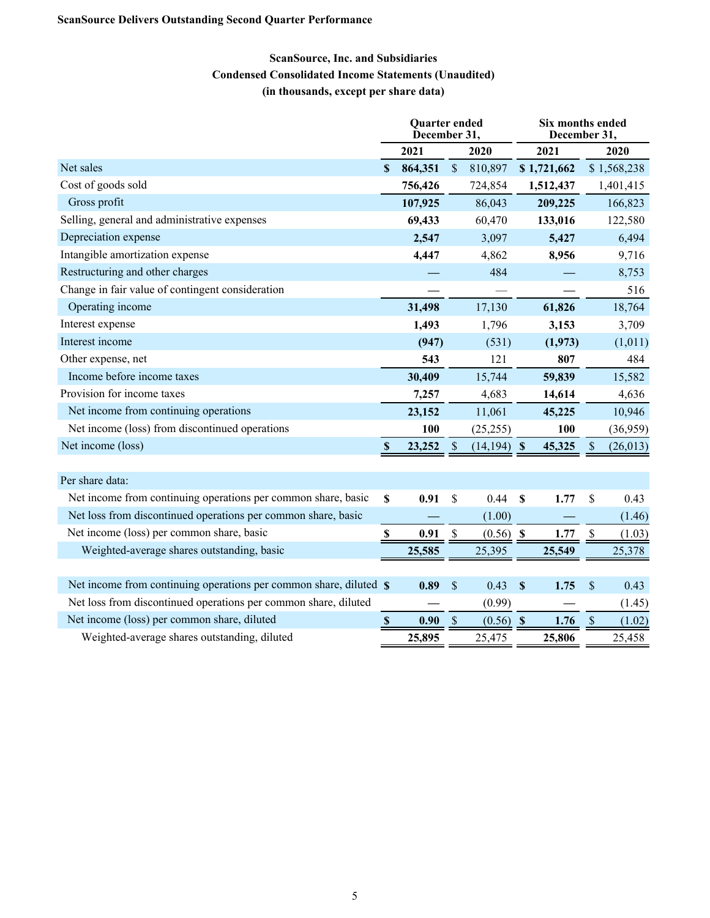# **ScanSource, Inc. and Subsidiaries Condensed Consolidated Income Statements (Unaudited) (in thousands, except per share data)**

|                                                                    | Quarter ended<br>December 31. |         |               |                |                           | Six months ended<br>December 31, |                           |             |
|--------------------------------------------------------------------|-------------------------------|---------|---------------|----------------|---------------------------|----------------------------------|---------------------------|-------------|
|                                                                    |                               | 2021    |               | 2020           |                           | 2021                             |                           | 2020        |
| Net sales                                                          | $\mathbf S$                   | 864,351 | \$            | 810,897        |                           | \$1,721,662                      |                           | \$1,568,238 |
| Cost of goods sold                                                 |                               | 756,426 |               | 724,854        |                           | 1,512,437                        |                           | 1,401,415   |
| Gross profit                                                       |                               | 107,925 |               | 86,043         |                           | 209,225                          |                           | 166,823     |
| Selling, general and administrative expenses                       |                               | 69,433  |               | 60,470         |                           | 133,016                          |                           | 122,580     |
| Depreciation expense                                               |                               | 2,547   |               | 3,097          |                           | 5,427                            |                           | 6,494       |
| Intangible amortization expense                                    |                               | 4,447   |               | 4,862          |                           | 8,956                            |                           | 9,716       |
| Restructuring and other charges                                    |                               |         |               | 484            |                           |                                  |                           | 8,753       |
| Change in fair value of contingent consideration                   |                               |         |               |                |                           |                                  |                           | 516         |
| Operating income                                                   |                               | 31,498  |               | 17,130         |                           | 61,826                           |                           | 18,764      |
| Interest expense                                                   |                               | 1,493   |               | 1,796          |                           | 3,153                            |                           | 3,709       |
| Interest income                                                    |                               | (947)   |               | (531)          |                           | (1,973)                          |                           | (1,011)     |
| Other expense, net                                                 |                               | 543     |               | 121            |                           | 807                              |                           | 484         |
| Income before income taxes                                         |                               | 30,409  |               | 15,744         |                           | 59,839                           |                           | 15,582      |
| Provision for income taxes                                         |                               | 7,257   |               | 4,683          |                           | 14,614                           |                           | 4,636       |
| Net income from continuing operations                              |                               | 23,152  |               | 11,061         |                           | 45,225                           |                           | 10,946      |
| Net income (loss) from discontinued operations                     |                               | 100     |               | (25, 255)      |                           | 100                              |                           | (36,959)    |
| Net income (loss)                                                  | $\mathbf S$                   | 23,252  | $\mathcal{S}$ | $(14, 194)$ \$ |                           | 45,325                           | \$                        | (26, 013)   |
|                                                                    |                               |         |               |                |                           |                                  |                           |             |
| Per share data:                                                    |                               |         |               |                |                           |                                  |                           |             |
| Net income from continuing operations per common share, basic      | $\boldsymbol{\mathsf{S}}$     | 0.91    | \$            | 0.44           | \$                        | 1.77                             | \$                        | 0.43        |
| Net loss from discontinued operations per common share, basic      |                               |         |               | (1.00)         |                           |                                  |                           | (1.46)      |
| Net income (loss) per common share, basic                          | \$                            | 0.91    | $\mathcal{S}$ | $(0.56)$ \$    |                           | 1.77                             | $\mathcal{S}$             | (1.03)      |
| Weighted-average shares outstanding, basic                         |                               | 25,585  |               | 25,395         |                           | 25,549                           |                           | 25,378      |
|                                                                    |                               |         |               |                |                           |                                  |                           |             |
| Net income from continuing operations per common share, diluted \$ |                               | 0.89    | \$            | 0.43           | $\boldsymbol{\mathsf{S}}$ | 1.75                             | $\boldsymbol{\mathsf{S}}$ | 0.43        |
| Net loss from discontinued operations per common share, diluted    |                               |         |               | (0.99)         |                           |                                  |                           | (1.45)      |
| Net income (loss) per common share, diluted                        | $\boldsymbol{\mathsf{S}}$     | 0.90    | $\mathcal{S}$ | $(0.56)$ \$    |                           | 1.76                             | $\sqrt{\ }$               | (1.02)      |
| Weighted-average shares outstanding, diluted                       |                               | 25,895  |               | 25,475         |                           | 25,806                           |                           | 25,458      |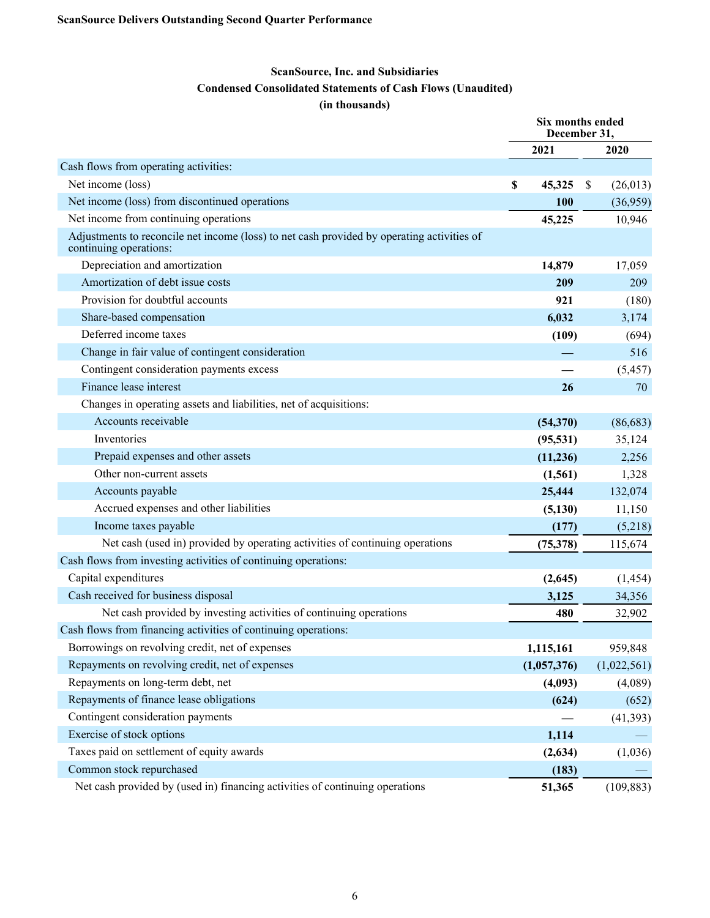### **ScanSource, Inc. and Subsidiaries**

# **Condensed Consolidated Statements of Cash Flows (Unaudited)**

### **(in thousands)**

|                                                                                                                      | Six months ended<br>December 31, |                 |
|----------------------------------------------------------------------------------------------------------------------|----------------------------------|-----------------|
|                                                                                                                      | 2021                             | 2020            |
| Cash flows from operating activities:                                                                                |                                  |                 |
| Net income (loss)                                                                                                    | \$<br>45,325                     | \$<br>(26, 013) |
| Net income (loss) from discontinued operations                                                                       | <b>100</b>                       | (36,959)        |
| Net income from continuing operations                                                                                | 45,225                           | 10,946          |
| Adjustments to reconcile net income (loss) to net cash provided by operating activities of<br>continuing operations: |                                  |                 |
| Depreciation and amortization                                                                                        | 14,879                           | 17,059          |
| Amortization of debt issue costs                                                                                     | 209                              | 209             |
| Provision for doubtful accounts                                                                                      | 921                              | (180)           |
| Share-based compensation                                                                                             | 6,032                            | 3,174           |
| Deferred income taxes                                                                                                | (109)                            | (694)           |
| Change in fair value of contingent consideration                                                                     |                                  | 516             |
| Contingent consideration payments excess                                                                             |                                  | (5, 457)        |
| Finance lease interest                                                                                               | 26                               | 70              |
| Changes in operating assets and liabilities, net of acquisitions:                                                    |                                  |                 |
| Accounts receivable                                                                                                  | (54,370)                         | (86, 683)       |
| Inventories                                                                                                          | (95, 531)                        | 35,124          |
| Prepaid expenses and other assets                                                                                    | (11,236)                         | 2,256           |
| Other non-current assets                                                                                             | (1, 561)                         | 1,328           |
| Accounts payable                                                                                                     | 25,444                           | 132,074         |
| Accrued expenses and other liabilities                                                                               | (5,130)                          | 11,150          |
| Income taxes payable                                                                                                 | (177)                            | (5,218)         |
| Net cash (used in) provided by operating activities of continuing operations                                         | (75, 378)                        | 115,674         |
| Cash flows from investing activities of continuing operations:                                                       |                                  |                 |
| Capital expenditures                                                                                                 | (2,645)                          | (1, 454)        |
| Cash received for business disposal                                                                                  | 3,125                            | 34,356          |
| Net cash provided by investing activities of continuing operations                                                   | 480                              | 32,902          |
| Cash flows from financing activities of continuing operations:                                                       |                                  |                 |
| Borrowings on revolving credit, net of expenses                                                                      | 1,115,161                        | 959,848         |
| Repayments on revolving credit, net of expenses                                                                      | (1,057,376)                      | (1,022,561)     |
| Repayments on long-term debt, net                                                                                    | (4,093)                          | (4,089)         |
| Repayments of finance lease obligations                                                                              | (624)                            | (652)           |
| Contingent consideration payments                                                                                    |                                  | (41, 393)       |
| Exercise of stock options                                                                                            | 1,114                            |                 |
| Taxes paid on settlement of equity awards                                                                            | (2, 634)                         | (1,036)         |
| Common stock repurchased                                                                                             | (183)                            |                 |
| Net cash provided by (used in) financing activities of continuing operations                                         | 51,365                           | (109, 883)      |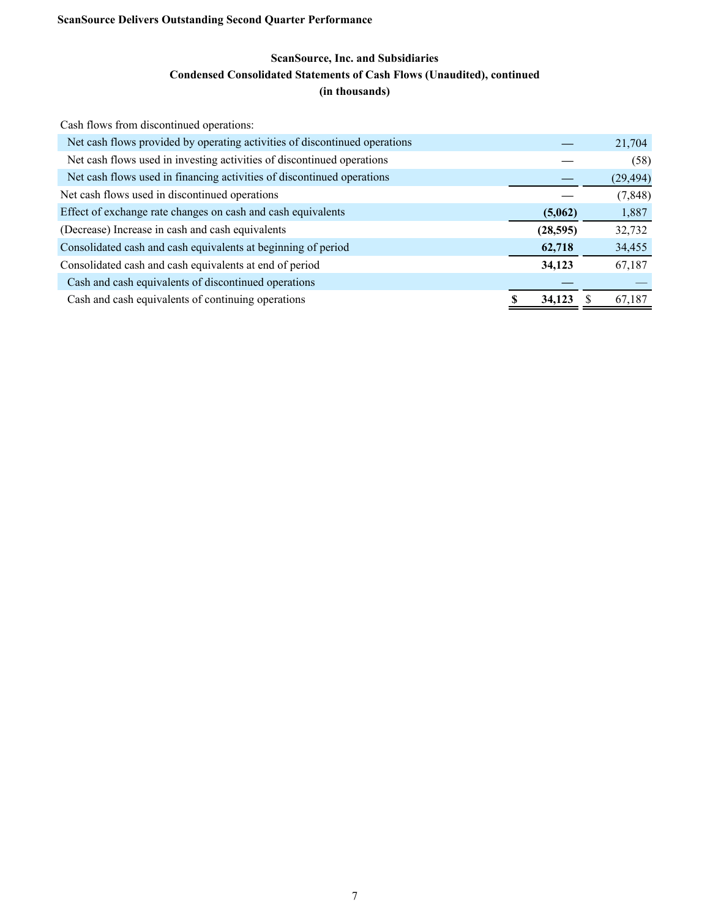# **ScanSource, Inc. and Subsidiaries Condensed Consolidated Statements of Cash Flows (Unaudited), continued (in thousands)**

| Cash flows from discontinued operations:                                   |           |           |  |  |  |  |  |  |  |
|----------------------------------------------------------------------------|-----------|-----------|--|--|--|--|--|--|--|
| Net cash flows provided by operating activities of discontinued operations |           | 21,704    |  |  |  |  |  |  |  |
| Net cash flows used in investing activities of discontinued operations     |           | (58)      |  |  |  |  |  |  |  |
| Net cash flows used in financing activities of discontinued operations     |           | (29, 494) |  |  |  |  |  |  |  |
| Net cash flows used in discontinued operations                             |           | (7, 848)  |  |  |  |  |  |  |  |
| Effect of exchange rate changes on cash and cash equivalents               | (5,062)   | 1,887     |  |  |  |  |  |  |  |
| (Decrease) Increase in cash and cash equivalents                           | (28, 595) | 32,732    |  |  |  |  |  |  |  |
| Consolidated cash and cash equivalents at beginning of period              | 62,718    | 34,455    |  |  |  |  |  |  |  |
| Consolidated cash and cash equivalents at end of period                    | 34,123    | 67,187    |  |  |  |  |  |  |  |
| Cash and cash equivalents of discontinued operations                       |           |           |  |  |  |  |  |  |  |
| Cash and cash equivalents of continuing operations                         | 34,123    | 67,187    |  |  |  |  |  |  |  |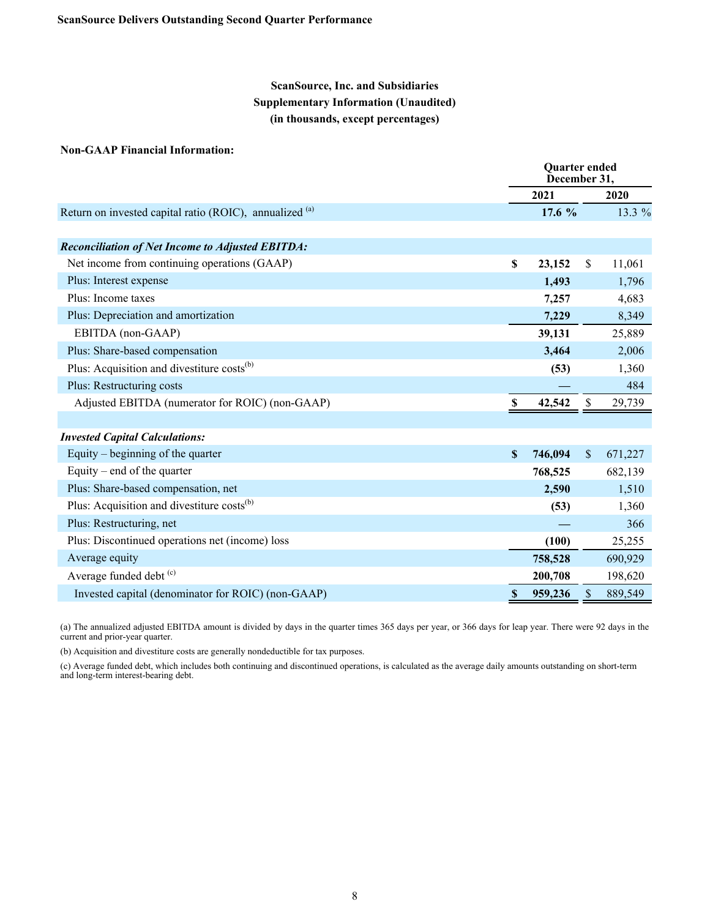# **ScanSource, Inc. and Subsidiaries Supplementary Information (Unaudited) (in thousands, except percentages)**

### **Non-GAAP Financial Information:**

|                                                         |             | December 31, | <b>Quarter ended</b> |         |  |  |
|---------------------------------------------------------|-------------|--------------|----------------------|---------|--|--|
|                                                         |             | 2021         |                      | 2020    |  |  |
| Return on invested capital ratio (ROIC), annualized (a) |             | 17.6%        |                      | 13.3 %  |  |  |
|                                                         |             |              |                      |         |  |  |
| <b>Reconciliation of Net Income to Adjusted EBITDA:</b> |             |              |                      |         |  |  |
| Net income from continuing operations (GAAP)            | \$          | 23,152       | \$                   | 11,061  |  |  |
| Plus: Interest expense                                  |             | 1,493        |                      | 1,796   |  |  |
| Plus: Income taxes                                      |             | 7,257        |                      | 4,683   |  |  |
| Plus: Depreciation and amortization                     |             | 7,229        |                      | 8,349   |  |  |
| EBITDA (non-GAAP)                                       |             | 39,131       |                      | 25,889  |  |  |
| Plus: Share-based compensation                          |             | 3,464        |                      | 2,006   |  |  |
| Plus: Acquisition and divestiture costs <sup>(b)</sup>  |             | (53)         |                      | 1,360   |  |  |
| Plus: Restructuring costs                               |             |              |                      | 484     |  |  |
| Adjusted EBITDA (numerator for ROIC) (non-GAAP)         |             | 42,542       | \$                   | 29,739  |  |  |
|                                                         |             |              |                      |         |  |  |
| <b>Invested Capital Calculations:</b>                   |             |              |                      |         |  |  |
| Equity – beginning of the quarter                       | \$          | 746,094      | $\mathcal{S}$        | 671,227 |  |  |
| Equity – end of the quarter                             |             | 768,525      |                      | 682,139 |  |  |
| Plus: Share-based compensation, net                     |             | 2,590        |                      | 1,510   |  |  |
| Plus: Acquisition and divestiture costs <sup>(b)</sup>  |             | (53)         |                      | 1,360   |  |  |
| Plus: Restructuring, net                                |             |              |                      | 366     |  |  |
| Plus: Discontinued operations net (income) loss         |             | (100)        |                      | 25,255  |  |  |
| Average equity                                          |             | 758,528      |                      | 690,929 |  |  |
| Average funded debt (c)                                 |             | 200,708      |                      | 198,620 |  |  |
| Invested capital (denominator for ROIC) (non-GAAP)      | $\mathbf S$ | 959,236      | \$                   | 889,549 |  |  |

(a) The annualized adjusted EBITDA amount is divided by days in the quarter times 365 days per year, or 366 days for leap year. There were 92 days in the current and prior-year quarter.

(b) Acquisition and divestiture costs are generally nondeductible for tax purposes.

(c) Average funded debt, which includes both continuing and discontinued operations, is calculated as the average daily amounts outstanding on short-term and long-term interest-bearing debt.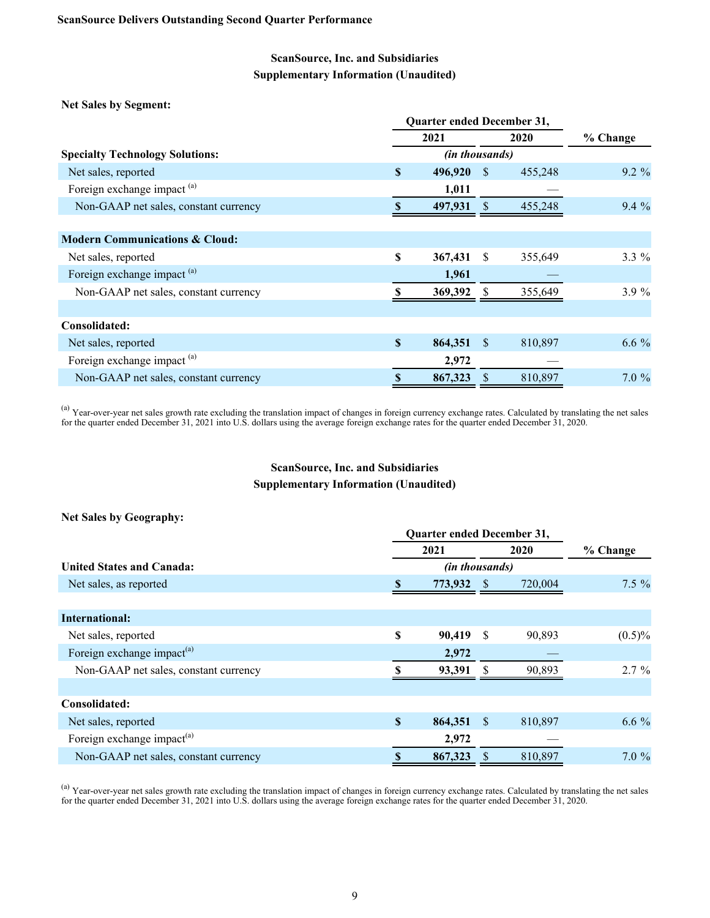### **ScanSource, Inc. and Subsidiaries Supplementary Information (Unaudited)**

**Net Sales by Segment:**

|                                           |    | Quarter ended December 31, |              |         |          |  |  |  |  |
|-------------------------------------------|----|----------------------------|--------------|---------|----------|--|--|--|--|
|                                           |    | 2021                       |              | 2020    | % Change |  |  |  |  |
| <b>Specialty Technology Solutions:</b>    |    | <i>(in thousands)</i>      |              |         |          |  |  |  |  |
| Net sales, reported                       | S  | 496,920                    | -S           | 455,248 | $9.2\%$  |  |  |  |  |
| Foreign exchange impact <sup>(a)</sup>    |    | 1,011                      |              |         |          |  |  |  |  |
| Non-GAAP net sales, constant currency     |    | 497,931                    |              | 455,248 | $9.4\%$  |  |  |  |  |
|                                           |    |                            |              |         |          |  |  |  |  |
| <b>Modern Communications &amp; Cloud:</b> |    |                            |              |         |          |  |  |  |  |
| Net sales, reported                       | S  | 367,431                    | <sup>S</sup> | 355,649 | $3.3\%$  |  |  |  |  |
| Foreign exchange impact <sup>(a)</sup>    |    | 1,961                      |              |         |          |  |  |  |  |
| Non-GAAP net sales, constant currency     |    | 369,392                    |              | 355,649 | 3.9%     |  |  |  |  |
|                                           |    |                            |              |         |          |  |  |  |  |
| Consolidated:                             |    |                            |              |         |          |  |  |  |  |
| Net sales, reported                       | \$ | 864,351                    | <sup>S</sup> | 810,897 | $6.6\%$  |  |  |  |  |
| Foreign exchange impact <sup>(a)</sup>    |    | 2,972                      |              |         |          |  |  |  |  |
| Non-GAAP net sales, constant currency     | \$ | 867,323                    |              | 810,897 | 7.0%     |  |  |  |  |

<sup>(a)</sup> Year-over-year net sales growth rate excluding the translation impact of changes in foreign currency exchange rates. Calculated by translating the net sales for the quarter ended December 31, 2021 into U.S. dollars using the average foreign exchange rates for the quarter ended December 31, 2020.

# **ScanSource, Inc. and Subsidiaries Supplementary Information (Unaudited)**

| <b>Net Sales by Geography:</b> |
|--------------------------------|
|--------------------------------|

|                                        | Quarter ended December 31, |                |      |         |           |
|----------------------------------------|----------------------------|----------------|------|---------|-----------|
|                                        |                            | 2021           |      | 2020    | % Change  |
| United States and Canada:              |                            | (in thousands) |      |         |           |
| Net sales, as reported                 |                            | 773,932 \$     |      | 720,004 | $7.5 \%$  |
|                                        |                            |                |      |         |           |
| International:                         |                            |                |      |         |           |
| Net sales, reported                    | \$                         | 90,419         | - \$ | 90,893  | $(0.5)\%$ |
| Foreign exchange impact <sup>(a)</sup> |                            | 2,972          |      |         |           |
| Non-GAAP net sales, constant currency  |                            | 93,391         |      | 90,893  | $2.7\%$   |
|                                        |                            |                |      |         |           |
| Consolidated:                          |                            |                |      |         |           |
| Net sales, reported                    | $\mathbf S$                | 864,351        | -S   | 810,897 | 6.6 $%$   |
| Foreign exchange impact <sup>(a)</sup> |                            | 2,972          |      |         |           |
| Non-GAAP net sales, constant currency  |                            | 867,323        | S    | 810,897 | $7.0\%$   |

 $^{(a)}$  Year-over-year net sales growth rate excluding the translation impact of changes in foreign currency exchange rates. Calculated by translating the net sales for the quarter ended December 31, 2021 into U.S. dollars using the average foreign exchange rates for the quarter ended December 31, 2020.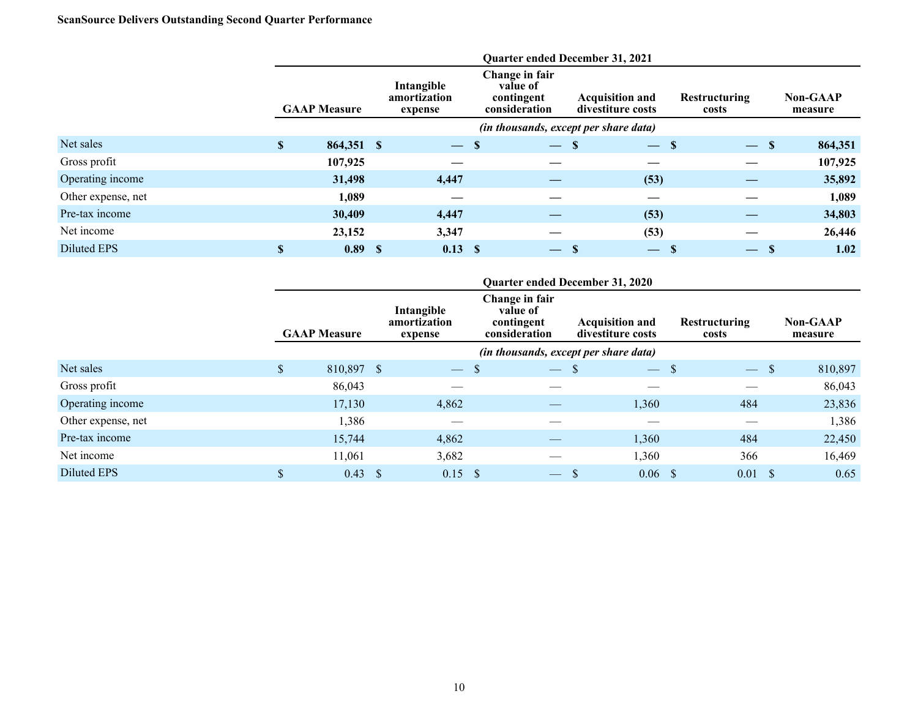### **ScanSource Delivers Outstanding Second Quarter Performance**

|                    |              | <b>Quarter ended December 31, 2021</b> |  |                                                              |                                       |                                                           |  |                                             |      |                               |     |         |                            |
|--------------------|--------------|----------------------------------------|--|--------------------------------------------------------------|---------------------------------------|-----------------------------------------------------------|--|---------------------------------------------|------|-------------------------------|-----|---------|----------------------------|
|                    |              |                                        |  | Intangible<br>amortization<br><b>GAAP Measure</b><br>expense |                                       | Change in fair<br>value of<br>contingent<br>consideration |  | <b>Acquisition and</b><br>divestiture costs |      | <b>Restructuring</b><br>costs |     |         | <b>Non-GAAP</b><br>measure |
|                    |              |                                        |  |                                                              | (in thousands, except per share data) |                                                           |  |                                             |      |                               |     |         |                            |
| Net sales          | $\mathbb{S}$ | 864,351 \$                             |  | $\overline{\phantom{m}}$                                     | -8                                    | $-$ \$                                                    |  | $-$ S                                       |      | $\overline{\phantom{m}}$      | -\$ | 864,351 |                            |
| Gross profit       |              | 107,925                                |  |                                                              |                                       |                                                           |  |                                             |      |                               |     | 107,925 |                            |
| Operating income   |              | 31,498                                 |  | 4,447                                                        |                                       |                                                           |  | (53)                                        |      |                               |     | 35,892  |                            |
| Other expense, net |              | 1,089                                  |  |                                                              |                                       |                                                           |  |                                             |      |                               |     | 1,089   |                            |
| Pre-tax income     |              | 30,409                                 |  | 4,447                                                        |                                       |                                                           |  | (53)                                        |      |                               |     | 34,803  |                            |
| Net income         |              | 23,152                                 |  | 3,347                                                        |                                       |                                                           |  | (53)                                        |      |                               |     | 26,446  |                            |
| Diluted EPS        | \$           | 0.89 S                                 |  | $0.13$ \$                                                    |                                       | $-$ \$                                                    |  | $\qquad \qquad \overline{\qquad \qquad }$   | - \$ | $\overline{\phantom{m}}$      | -S  | 1.02    |                            |

|                    |               | <b>Quarter ended December 31, 2020</b> |  |                                       |   |                                                           |               |                                             |              |                               |               |                            |
|--------------------|---------------|----------------------------------------|--|---------------------------------------|---|-----------------------------------------------------------|---------------|---------------------------------------------|--------------|-------------------------------|---------------|----------------------------|
|                    |               | <b>GAAP Measure</b>                    |  | Intangible<br>amortization<br>expense |   | Change in fair<br>value of<br>contingent<br>consideration |               | <b>Acquisition and</b><br>divestiture costs |              | <b>Restructuring</b><br>costs |               | <b>Non-GAAP</b><br>measure |
|                    |               |                                        |  |                                       |   | (in thousands, except per share data)                     |               |                                             |              |                               |               |                            |
| Net sales          | $\mathcal{S}$ | 810,897 \$                             |  | $\overline{\phantom{a}}$              | S | $\frac{1}{2}$                                             | $\mathcal{S}$ | $\overline{\phantom{0}}$                    | <sup>S</sup> | $\overline{\phantom{m}}$      | <sup>\$</sup> | 810,897                    |
| Gross profit       |               | 86,043                                 |  |                                       |   |                                                           |               |                                             |              |                               |               | 86,043                     |
| Operating income   |               | 17,130                                 |  | 4,862                                 |   |                                                           |               | 1,360                                       |              | 484                           |               | 23,836                     |
| Other expense, net |               | 1,386                                  |  |                                       |   |                                                           |               |                                             |              |                               |               | 1,386                      |
| Pre-tax income     |               | 15,744                                 |  | 4,862                                 |   |                                                           |               | 1,360                                       |              | 484                           |               | 22,450                     |
| Net income         |               | 11,061                                 |  | 3,682                                 |   |                                                           |               | 1,360                                       |              | 366                           |               | 16,469                     |
| Diluted EPS        | $\mathcal{S}$ | $0.43 \quad$ \$                        |  | $0.15$ \$                             |   | $\overline{\phantom{a}}$                                  | <sup>\$</sup> | 0.06                                        | -S           | 0.01                          |               | 0.65                       |